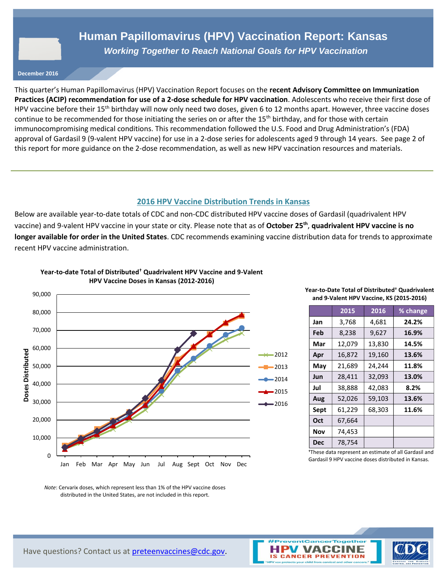## **Human Papillomavirus (HPV) Vaccination Report: Kansas** *Working Together to Reach National Goals for HPV Vaccination*

**December 2016**

This quarter's Human Papillomavirus (HPV) Vaccination Report focuses on the **recent Advisory Committee on Immunization Practices (ACIP) recommendation for use of a 2-dose schedule for HPV vaccination**. Adolescents who receive their first dose of HPV vaccine before their 15<sup>th</sup> birthday will now only need two doses, given 6 to 12 months apart. However, three vaccine doses continue to be recommended for those initiating the series on or after the 15<sup>th</sup> birthday, and for those with certain immunocompromising medical conditions. This recommendation followed the U.S. Food and Drug Administration's (FDA) approval of Gardasil 9 (9-valent HPV vaccine) for use in a 2-dose series for adolescents aged 9 through 14 years. See page 2 of this report for more guidance on the 2-dose recommendation, as well as new HPV vaccination resources and materials.

### **2016 HPV Vaccine Distribution Trends in Kansas**

Below are available year-to-date totals of CDC and non-CDC distributed HPV vaccine doses of Gardasil (quadrivalent HPV vaccine) and 9-valent HPV vaccine in your state or city. Please note that as of **October 25th** , **quadrivalent HPV vaccine is no longer available for order in the United States**. CDC recommends examining vaccine distribution data for trends to approximate recent HPV vaccine administration.



**Year-to-date Total of Distributed† Quadrivalent HPV Vaccine and 9-Valent** 

#### **Year-to-Date Total of Distributed† Quadrivalent and 9-Valent HPV Vaccine, KS (2015-2016)**

|            | 2015   | 2016   | % change |
|------------|--------|--------|----------|
| Jan        | 3,768  | 4,681  | 24.2%    |
| Feb        | 8,238  | 9,627  | 16.9%    |
| Mar        | 12,079 | 13,830 | 14.5%    |
| Apr        | 16,872 | 19,160 | 13.6%    |
| May        | 21,689 | 24,244 | 11.8%    |
| Jun        | 28,411 | 32,093 | 13.0%    |
| Jul        | 38,888 | 42,083 | 8.2%     |
| Aug        | 52,026 | 59,103 | 13.6%    |
| Sept       | 61,229 | 68,303 | 11.6%    |
| Oct        | 67,664 |        |          |
| Nov        | 74,453 |        |          |
| <b>Dec</b> | 78,754 |        |          |

**†**These data represent an estimate of all Gardasil and Gardasil 9 HPV vaccine doses distributed in Kansas.

*Note*: Cervarix doses, which represent less than 1% of the HPV vaccine doses distributed in the United States, are not included in this report.